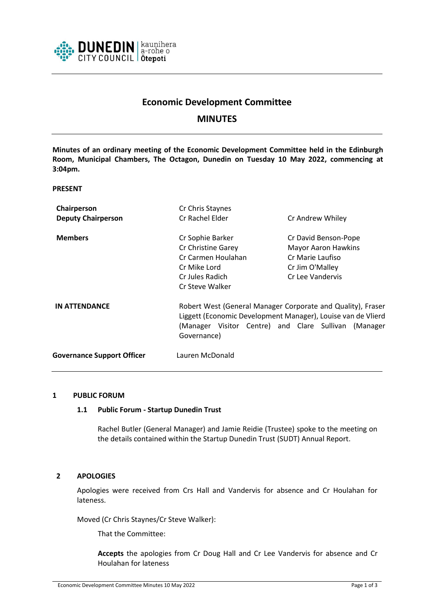

# **Economic Development Committee**

# **MINUTES**

**Minutes of an ordinary meeting of the Economic Development Committee held in the Edinburgh Room, Municipal Chambers, The Octagon, Dunedin on Tuesday 10 May 2022, commencing at 3:04pm.**

#### **PRESENT**

| Chairperson                       | Cr Chris Staynes                                                                                                                                                                                   |                                                                                                               |
|-----------------------------------|----------------------------------------------------------------------------------------------------------------------------------------------------------------------------------------------------|---------------------------------------------------------------------------------------------------------------|
| <b>Deputy Chairperson</b>         | Cr Rachel Elder                                                                                                                                                                                    | Cr Andrew Whiley                                                                                              |
| <b>Members</b>                    | Cr Sophie Barker<br>Cr Christine Garey<br>Cr Carmen Houlahan<br>Cr Mike Lord<br>Cr Jules Radich<br>Cr Steve Walker                                                                                 | Cr David Benson-Pope<br><b>Mayor Aaron Hawkins</b><br>Cr Marie Laufiso<br>Cr Jim O'Malley<br>Cr Lee Vandervis |
| <b>IN ATTENDANCE</b>              | Robert West (General Manager Corporate and Quality), Fraser<br>Liggett (Economic Development Manager), Louise van de Vlierd<br>(Manager Visitor Centre) and Clare Sullivan (Manager<br>Governance) |                                                                                                               |
| <b>Governance Support Officer</b> | Lauren McDonald                                                                                                                                                                                    |                                                                                                               |

## **1 PUBLIC FORUM**

## **1.1 Public Forum - Startup Dunedin Trust**

Rachel Butler (General Manager) and Jamie Reidie (Trustee) spoke to the meeting on the details contained within the Startup Dunedin Trust (SUDT) Annual Report.

## **2 APOLOGIES**

Apologies were received from Crs Hall and Vandervis for absence and Cr Houlahan for lateness.

Moved (Cr Chris Staynes/Cr Steve Walker):

That the Committee:

**Accepts** the apologies from Cr Doug Hall and Cr Lee Vandervis for absence and Cr Houlahan for lateness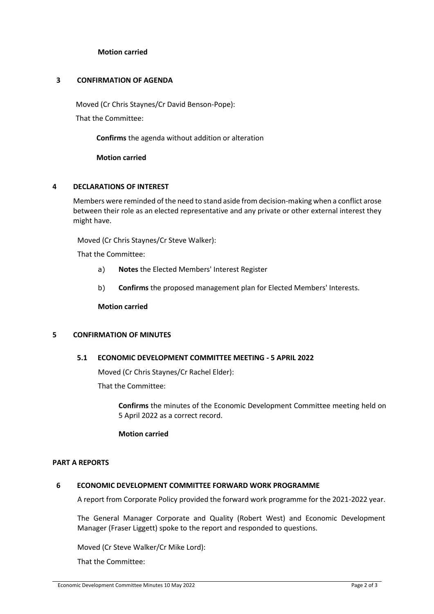#### **Motion carried**

#### **3 CONFIRMATION OF AGENDA**

Moved (Cr Chris Staynes/Cr David Benson-Pope):

That the Committee:

**Confirms** the agenda without addition or alteration

**Motion carried**

#### **4 DECLARATIONS OF INTEREST**

Members were reminded of the need to stand aside from decision-making when a conflict arose between their role as an elected representative and any private or other external interest they might have.

Moved (Cr Chris Staynes/Cr Steve Walker):

That the Committee:

- a) **Notes** the Elected Members' Interest Register
- b) **Confirms** the proposed management plan for Elected Members' Interests.

**Motion carried**

#### **5 CONFIRMATION OF MINUTES**

## **5.1 ECONOMIC DEVELOPMENT COMMITTEE MEETING - 5 APRIL 2022**

Moved (Cr Chris Staynes/Cr Rachel Elder):

That the Committee:

**Confirms** the minutes of the Economic Development Committee meeting held on 5 April 2022 as a correct record.

#### **Motion carried**

#### **PART A REPORTS**

## **6 ECONOMIC DEVELOPMENT COMMITTEE FORWARD WORK PROGRAMME**

A report from Corporate Policy provided the forward work programme for the 2021-2022 year.

The General Manager Corporate and Quality (Robert West) and Economic Development Manager (Fraser Liggett) spoke to the report and responded to questions.

Moved (Cr Steve Walker/Cr Mike Lord):

That the Committee: